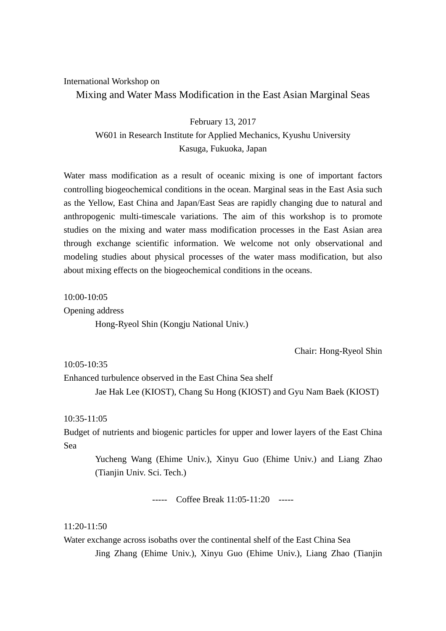## International Workshop on Mixing and Water Mass Modification in the East Asian Marginal Seas

February 13, 2017 W601 in Research Institute for Applied Mechanics, Kyushu University Kasuga, Fukuoka, Japan

Water mass modification as a result of oceanic mixing is one of important factors controlling biogeochemical conditions in the ocean. Marginal seas in the East Asia such as the Yellow, East China and Japan/East Seas are rapidly changing due to natural and anthropogenic multi-timescale variations. The aim of this workshop is to promote studies on the mixing and water mass modification processes in the East Asian area through exchange scientific information. We welcome not only observational and modeling studies about physical processes of the water mass modification, but also about mixing effects on the biogeochemical conditions in the oceans.

10:00-10:05

Opening address

Hong-Ryeol Shin (Kongju National Univ.)

Chair: Hong-Ryeol Shin

 $10.05 - 10.35$ 

Enhanced turbulence observed in the East China Sea shelf

Jae Hak Lee (KIOST), Chang Su Hong (KIOST) and Gyu Nam Baek (KIOST)

10:35-11:05

Budget of nutrients and biogenic particles for upper and lower layers of the East China Sea

Yucheng Wang (Ehime Univ.), Xinyu Guo (Ehime Univ.) and Liang Zhao (Tianjin Univ. Sci. Tech.)

----- Coffee Break 11:05-11:20 -----

## 11:20-11:50

Water exchange across isobaths over the continental shelf of the East China Sea Jing Zhang (Ehime Univ.), Xinyu Guo (Ehime Univ.), Liang Zhao (Tianjin